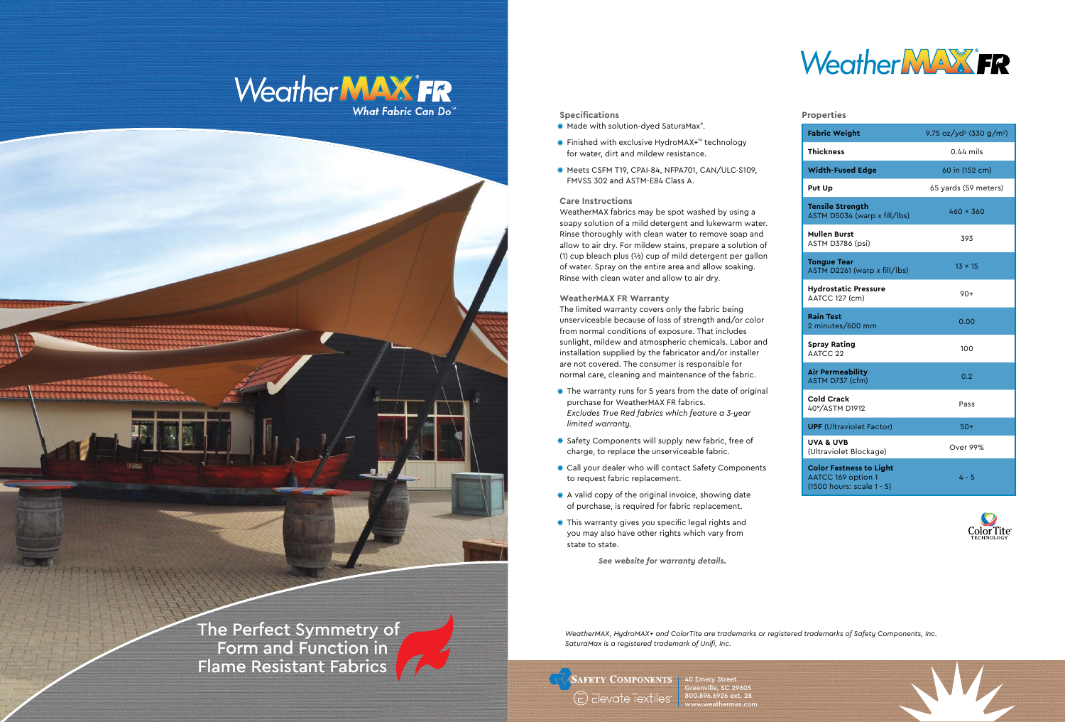## **Specifications**

- Made with solution-dyed SaturaMax® .
- Finished with exclusive HydroMAX+™ technology for water, dirt and mildew resistance.
- Meets CSFM T19, CPAI-84, NFPA701, CAN/ULC-S109, FMVSS 302 and ASTM-E84 Class A.

## **Care Instructions**

WeatherMAX fabrics may be spot washed by using a soapy solution of a mild detergent and lukewarm water. Rinse thoroughly with clean water to remove soap and allow to air dry. For mildew stains, prepare a solution of (1) cup bleach plus (½) cup of mild detergent per gallon of water. Spray on the entire area and allow soaking. Rinse with clean water and allow to air dry.

### **WeatherMAX FR Warranty**

The limited warranty covers only the fabric being unserviceable because of loss of strength and/or color from normal conditions of exposure. That includes sunlight, mildew and atmospheric chemicals. Labor and installation supplied by the fabricator and/or installer are not covered. The consumer is responsible for normal care, cleaning and maintenance of the fabric.

- The warranty runs for 5 years from the date of original purchase for WeatherMAX FR fabrics. *Excludes True Red fabrics which feature a 3-year limited warranty.*
- Safety Components will supply new fabric, free of charge, to replace the unserviceable fabric.
- Call your dealer who will contact Safety Components to request fabric replacement.
- \* A valid copy of the original invoice, showing date of purchase, is required for fabric replacement.
- This warranty gives you specific legal rights and you may also have other rights which vary from state to state.

*See website for warranty details.*

- 
- 

# **Ter**<br>AS

40 Emery Street Greenville, SC 29605 800.896.6926 ext. 28 www.weathermax.com



*WeatherMAX, HydroMAX+ and ColorTite are trademarks or registered trademarks of Safety Components, Inc. SaturaMax is a registered trademark of Unifi, Inc.*

**AFETY COMPONENTS** (E) Elevate Textiles

## Weather MAX FR What Fabric Can Do



**Properties**

**Mullen Burst**

**Ton**<br>AS

**Hyd** 

**Rai**<br>2 m

**Spr** 

**Air**<br>AS

Col

**UVA**<br>Ult

 $(15$ 

| <b>Fabric Weight</b>                                                                     | 9.75 oz/yd <sup>2</sup> (330 g/m <sup>2</sup> ) |
|------------------------------------------------------------------------------------------|-------------------------------------------------|
| Thickness                                                                                | $0.44$ mils                                     |
| <b>Width-Fused Edge</b>                                                                  | 60 in (152 cm)                                  |
| Put Up                                                                                   | 65 yards (59 meters)                            |
| <b>Tensile Strength</b><br>ASTM D5034 (warp x fill/lbs)                                  | $460 \times 360$                                |
| Mullen Burst<br>ASTM D3786 (psi)                                                         | 393                                             |
| <b>Tongue Tear</b><br>ASTM D2261 (warp x fill/lbs)                                       | $13 \times 15$                                  |
| Hydrostatic Pressure<br>AATCC 127 (cm)                                                   | $90+$                                           |
| <b>Rain Test</b><br>2 minutes/600 mm                                                     | 0.00                                            |
| Spray Rating<br>AATCC 22                                                                 | 100                                             |
| Air Permeability<br>ASTM D737 (cfm)                                                      | 0.2                                             |
| Cold Crack<br>40°/ASTM D1912                                                             | Pass                                            |
| <b>UPF</b> (Ultraviolet Factor)                                                          | $50+$                                           |
| <b>UVA &amp; UVB</b><br>(Ultraviolet Blockage)                                           | Over 99%                                        |
| <b>Color Fastness to Light</b><br><b>AATCC 169 option 1</b><br>(1500 hours: scale 1 - 5) | $4 - 5$                                         |